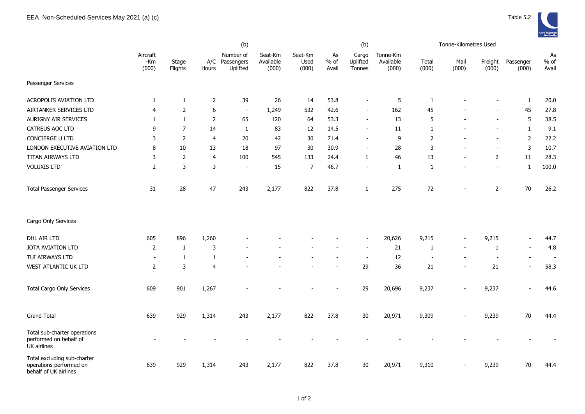

|                                                                                 |                          |                  |                | (b)                                     |                               |                          |                       | (b)                         |                                |                          | Tonne-Kilometres Used    |                          |                          |                          |
|---------------------------------------------------------------------------------|--------------------------|------------------|----------------|-----------------------------------------|-------------------------------|--------------------------|-----------------------|-----------------------------|--------------------------------|--------------------------|--------------------------|--------------------------|--------------------------|--------------------------|
|                                                                                 | Aircraft<br>-Km<br>(000) | Stage<br>Flights | Hours          | Number of<br>A/C Passengers<br>Uplifted | Seat-Km<br>Available<br>(000) | Seat-Km<br>Used<br>(000) | As<br>$%$ of<br>Avail | Cargo<br>Uplifted<br>Tonnes | Tonne-Km<br>Available<br>(000) | Total<br>(000)           | Mail<br>(000)            | Freight<br>(000)         | Passenger<br>(000)       | As<br>$%$ of<br>Avail    |
| Passenger Services                                                              |                          |                  |                |                                         |                               |                          |                       |                             |                                |                          |                          |                          |                          |                          |
| ACROPOLIS AVIATION LTD                                                          | 1                        | $\mathbf{1}$     | $\overline{2}$ | 39                                      | 26                            | 14                       | 53.8                  | $\overline{\phantom{a}}$    | 5                              | 1                        |                          |                          | 1                        | 20.0                     |
| AIRTANKER SERVICES LTD                                                          | $\overline{4}$           | $\overline{2}$   | 6              | $\sim$                                  | 1,249                         | 532                      | 42.6                  |                             | 162                            | 45                       |                          |                          | 45                       | 27.8                     |
| AURIGNY AIR SERVICES                                                            | 1                        | $\mathbf{1}$     | $\overline{2}$ | 65                                      | 120                           | 64                       | 53.3                  | $\sim$                      | 13                             | 5                        |                          | $\sim$                   | 5                        | 38.5                     |
| CATREUS AOC LTD                                                                 | 9                        | $\overline{7}$   | 14             | $\mathbf{1}$                            | 83                            | 12                       | 14.5                  |                             | 11                             | 1                        |                          |                          | $\mathbf{1}$             | 9.1                      |
| CONCIERGE U LTD                                                                 | 3                        | $\overline{2}$   | $\overline{4}$ | 20                                      | 42                            | 30                       | 71.4                  | $\overline{\phantom{a}}$    | 9                              | $\overline{2}$           |                          | $\overline{\phantom{0}}$ | $\overline{2}$           | 22.2                     |
| LONDON EXECUTIVE AVIATION LTD                                                   | 8                        | 10               | 13             | 18                                      | 97                            | 30                       | 30.9                  |                             | 28                             | 3                        |                          |                          | $\mathsf 3$              | 10.7                     |
| TITAN AIRWAYS LTD                                                               | 3                        | $\mathsf{2}$     | $\overline{4}$ | 100                                     | 545                           | 133                      | 24.4                  | 1                           | 46                             | 13                       | $\overline{\phantom{a}}$ | $\overline{2}$           | $11\,$                   | 28.3                     |
| <b>VOLUXIS LTD</b>                                                              | $\overline{2}$           | 3                | 3              |                                         | 15                            | $\overline{7}$           | 46.7                  | $\overline{\phantom{a}}$    | $\mathbf{1}$                   | 1                        | $\overline{a}$           | $\blacksquare$           | 1                        | 100.0                    |
| <b>Total Passenger Services</b>                                                 | 31                       | 28               | 47             | 243                                     | 2,177                         | 822                      | 37.8                  | 1                           | 275                            | 72                       | $\blacksquare$           | $\overline{2}$           | 70                       | 26.2                     |
| Cargo Only Services                                                             |                          |                  |                |                                         |                               |                          |                       |                             |                                |                          |                          |                          |                          |                          |
| DHL AIR LTD                                                                     | 605                      | 896              | 1,260          |                                         |                               |                          |                       |                             | 20,626                         | 9,215                    | $\overline{\phantom{a}}$ | 9,215                    | $\overline{\phantom{a}}$ | 44.7                     |
| JOTA AVIATION LTD                                                               | $\overline{2}$           | $\mathbf{1}$     | 3              |                                         |                               |                          |                       |                             | 21                             | 1                        | $\blacksquare$           | 1                        | $\blacksquare$           | 4.8                      |
| TUI AIRWAYS LTD                                                                 | $\overline{\phantom{a}}$ | $\mathbf{1}$     | $\mathbf{1}$   |                                         |                               |                          |                       |                             | 12                             | $\overline{\phantom{a}}$ |                          | $\overline{\phantom{a}}$ | $\overline{\phantom{a}}$ | $\overline{\phantom{a}}$ |
| WEST ATLANTIC UK LTD                                                            | $\overline{2}$           | 3                | $\overline{4}$ |                                         |                               |                          |                       | 29                          | 36                             | 21                       | $\blacksquare$           | 21                       | $\overline{\phantom{a}}$ | 58.3                     |
| <b>Total Cargo Only Services</b>                                                | 609                      | 901              | 1,267          |                                         |                               |                          |                       | 29                          | 20,696                         | 9,237                    |                          | 9,237                    | $\overline{\phantom{a}}$ | 44.6                     |
| <b>Grand Total</b>                                                              | 639                      | 929              | 1,314          | 243                                     | 2,177                         | 822                      | 37.8                  | $30\,$                      | 20,971                         | 9,309                    |                          | 9,239                    | $70\,$                   | 44.4                     |
| Total sub-charter operations<br>performed on behalf of<br>UK airlines           |                          |                  |                |                                         |                               |                          |                       |                             |                                |                          |                          |                          |                          |                          |
| Total excluding sub-charter<br>operations performed on<br>behalf of UK airlines | 639                      | 929              | 1,314          | 243                                     | 2,177                         | 822                      | 37.8                  | $30\,$                      | 20,971                         | 9,310                    |                          | 9,239                    | $70\,$                   | 44.4                     |